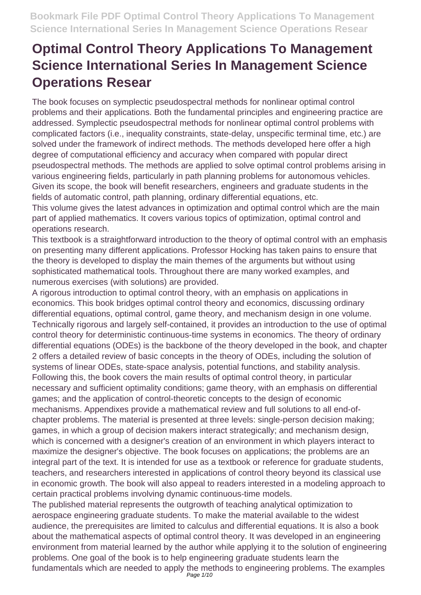The book focuses on symplectic pseudospectral methods for nonlinear optimal control problems and their applications. Both the fundamental principles and engineering practice are addressed. Symplectic pseudospectral methods for nonlinear optimal control problems with complicated factors (i.e., inequality constraints, state-delay, unspecific terminal time, etc.) are solved under the framework of indirect methods. The methods developed here offer a high degree of computational efficiency and accuracy when compared with popular direct pseudospectral methods. The methods are applied to solve optimal control problems arising in various engineering fields, particularly in path planning problems for autonomous vehicles. Given its scope, the book will benefit researchers, engineers and graduate students in the fields of automatic control, path planning, ordinary differential equations, etc.

This volume gives the latest advances in optimization and optimal control which are the main part of applied mathematics. It covers various topics of optimization, optimal control and operations research.

This textbook is a straightforward introduction to the theory of optimal control with an emphasis on presenting many different applications. Professor Hocking has taken pains to ensure that the theory is developed to display the main themes of the arguments but without using sophisticated mathematical tools. Throughout there are many worked examples, and numerous exercises (with solutions) are provided.

A rigorous introduction to optimal control theory, with an emphasis on applications in economics. This book bridges optimal control theory and economics, discussing ordinary differential equations, optimal control, game theory, and mechanism design in one volume. Technically rigorous and largely self-contained, it provides an introduction to the use of optimal control theory for deterministic continuous-time systems in economics. The theory of ordinary differential equations (ODEs) is the backbone of the theory developed in the book, and chapter 2 offers a detailed review of basic concepts in the theory of ODEs, including the solution of systems of linear ODEs, state-space analysis, potential functions, and stability analysis. Following this, the book covers the main results of optimal control theory, in particular necessary and sufficient optimality conditions; game theory, with an emphasis on differential games; and the application of control-theoretic concepts to the design of economic mechanisms. Appendixes provide a mathematical review and full solutions to all end-ofchapter problems. The material is presented at three levels: single-person decision making; games, in which a group of decision makers interact strategically; and mechanism design, which is concerned with a designer's creation of an environment in which players interact to maximize the designer's objective. The book focuses on applications; the problems are an integral part of the text. It is intended for use as a textbook or reference for graduate students, teachers, and researchers interested in applications of control theory beyond its classical use in economic growth. The book will also appeal to readers interested in a modeling approach to certain practical problems involving dynamic continuous-time models.

The published material represents the outgrowth of teaching analytical optimization to aerospace engineering graduate students. To make the material available to the widest audience, the prerequisites are limited to calculus and differential equations. It is also a book about the mathematical aspects of optimal control theory. It was developed in an engineering environment from material learned by the author while applying it to the solution of engineering problems. One goal of the book is to help engineering graduate students learn the fundamentals which are needed to apply the methods to engineering problems. The examples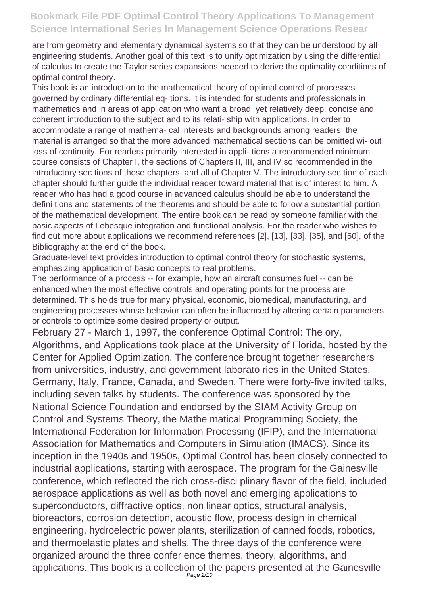are from geometry and elementary dynamical systems so that they can be understood by all engineering students. Another goal of this text is to unify optimization by using the differential of calculus to create the Taylor series expansions needed to derive the optimality conditions of optimal control theory.

This book is an introduction to the mathematical theory of optimal control of processes governed by ordinary differential eq- tions. It is intended for students and professionals in mathematics and in areas of application who want a broad, yet relatively deep, concise and coherent introduction to the subject and to its relati- ship with applications. In order to accommodate a range of mathema- cal interests and backgrounds among readers, the material is arranged so that the more advanced mathematical sections can be omitted wi- out loss of continuity. For readers primarily interested in appli- tions a recommended minimum course consists of Chapter I, the sections of Chapters II, III, and IV so recommended in the introductory sec tions of those chapters, and all of Chapter V. The introductory sec tion of each chapter should further guide the individual reader toward material that is of interest to him. A reader who has had a good course in advanced calculus should be able to understand the defini tions and statements of the theorems and should be able to follow a substantial portion of the mathematical development. The entire book can be read by someone familiar with the basic aspects of Lebesque integration and functional analysis. For the reader who wishes to find out more about applications we recommend references [2], [13], [33], [35], and [50], of the Bibliography at the end of the book.

Graduate-level text provides introduction to optimal control theory for stochastic systems, emphasizing application of basic concepts to real problems.

The performance of a process -- for example, how an aircraft consumes fuel -- can be enhanced when the most effective controls and operating points for the process are determined. This holds true for many physical, economic, biomedical, manufacturing, and engineering processes whose behavior can often be influenced by altering certain parameters or controls to optimize some desired property or output.

February 27 - March 1, 1997, the conference Optimal Control: The ory, Algorithms, and Applications took place at the University of Florida, hosted by the Center for Applied Optimization. The conference brought together researchers from universities, industry, and government laborato ries in the United States, Germany, Italy, France, Canada, and Sweden. There were forty-five invited talks, including seven talks by students. The conference was sponsored by the National Science Foundation and endorsed by the SIAM Activity Group on Control and Systems Theory, the Mathe matical Programming Society, the International Federation for Information Processing (IFIP), and the International Association for Mathematics and Computers in Simulation (IMACS). Since its inception in the 1940s and 1950s, Optimal Control has been closely connected to industrial applications, starting with aerospace. The program for the Gainesville conference, which reflected the rich cross-disci plinary flavor of the field, included aerospace applications as well as both novel and emerging applications to superconductors, diffractive optics, non linear optics, structural analysis, bioreactors, corrosion detection, acoustic flow, process design in chemical engineering, hydroelectric power plants, sterilization of canned foods, robotics, and thermoelastic plates and shells. The three days of the conference were organized around the three confer ence themes, theory, algorithms, and applications. This book is a collection of the papers presented at the Gainesville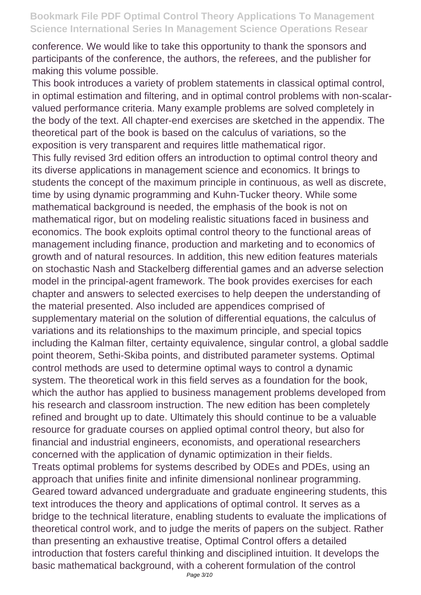conference. We would like to take this opportunity to thank the sponsors and participants of the conference, the authors, the referees, and the publisher for making this volume possible.

This book introduces a variety of problem statements in classical optimal control, in optimal estimation and filtering, and in optimal control problems with non-scalarvalued performance criteria. Many example problems are solved completely in the body of the text. All chapter-end exercises are sketched in the appendix. The theoretical part of the book is based on the calculus of variations, so the exposition is very transparent and requires little mathematical rigor. This fully revised 3rd edition offers an introduction to optimal control theory and its diverse applications in management science and economics. It brings to students the concept of the maximum principle in continuous, as well as discrete, time by using dynamic programming and Kuhn-Tucker theory. While some mathematical background is needed, the emphasis of the book is not on mathematical rigor, but on modeling realistic situations faced in business and economics. The book exploits optimal control theory to the functional areas of management including finance, production and marketing and to economics of growth and of natural resources. In addition, this new edition features materials on stochastic Nash and Stackelberg differential games and an adverse selection model in the principal-agent framework. The book provides exercises for each chapter and answers to selected exercises to help deepen the understanding of the material presented. Also included are appendices comprised of supplementary material on the solution of differential equations, the calculus of variations and its relationships to the maximum principle, and special topics including the Kalman filter, certainty equivalence, singular control, a global saddle point theorem, Sethi-Skiba points, and distributed parameter systems. Optimal control methods are used to determine optimal ways to control a dynamic system. The theoretical work in this field serves as a foundation for the book, which the author has applied to business management problems developed from his research and classroom instruction. The new edition has been completely refined and brought up to date. Ultimately this should continue to be a valuable resource for graduate courses on applied optimal control theory, but also for financial and industrial engineers, economists, and operational researchers concerned with the application of dynamic optimization in their fields. Treats optimal problems for systems described by ODEs and PDEs, using an approach that unifies finite and infinite dimensional nonlinear programming. Geared toward advanced undergraduate and graduate engineering students, this text introduces the theory and applications of optimal control. It serves as a bridge to the technical literature, enabling students to evaluate the implications of theoretical control work, and to judge the merits of papers on the subject. Rather than presenting an exhaustive treatise, Optimal Control offers a detailed introduction that fosters careful thinking and disciplined intuition. It develops the basic mathematical background, with a coherent formulation of the control Page 3/10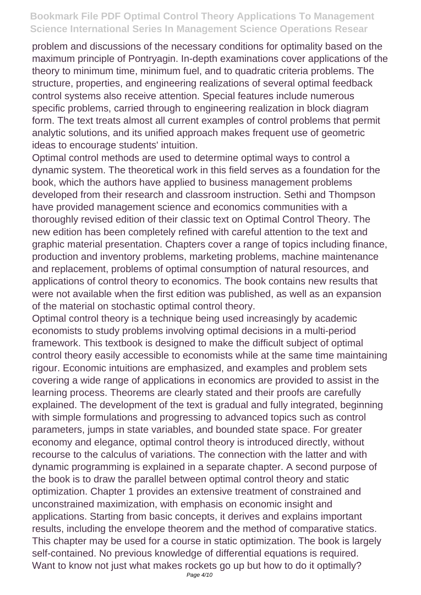problem and discussions of the necessary conditions for optimality based on the maximum principle of Pontryagin. In-depth examinations cover applications of the theory to minimum time, minimum fuel, and to quadratic criteria problems. The structure, properties, and engineering realizations of several optimal feedback control systems also receive attention. Special features include numerous specific problems, carried through to engineering realization in block diagram form. The text treats almost all current examples of control problems that permit analytic solutions, and its unified approach makes frequent use of geometric ideas to encourage students' intuition.

Optimal control methods are used to determine optimal ways to control a dynamic system. The theoretical work in this field serves as a foundation for the book, which the authors have applied to business management problems developed from their research and classroom instruction. Sethi and Thompson have provided management science and economics communities with a thoroughly revised edition of their classic text on Optimal Control Theory. The new edition has been completely refined with careful attention to the text and graphic material presentation. Chapters cover a range of topics including finance, production and inventory problems, marketing problems, machine maintenance and replacement, problems of optimal consumption of natural resources, and applications of control theory to economics. The book contains new results that were not available when the first edition was published, as well as an expansion of the material on stochastic optimal control theory.

Optimal control theory is a technique being used increasingly by academic economists to study problems involving optimal decisions in a multi-period framework. This textbook is designed to make the difficult subject of optimal control theory easily accessible to economists while at the same time maintaining rigour. Economic intuitions are emphasized, and examples and problem sets covering a wide range of applications in economics are provided to assist in the learning process. Theorems are clearly stated and their proofs are carefully explained. The development of the text is gradual and fully integrated, beginning with simple formulations and progressing to advanced topics such as control parameters, jumps in state variables, and bounded state space. For greater economy and elegance, optimal control theory is introduced directly, without recourse to the calculus of variations. The connection with the latter and with dynamic programming is explained in a separate chapter. A second purpose of the book is to draw the parallel between optimal control theory and static optimization. Chapter 1 provides an extensive treatment of constrained and unconstrained maximization, with emphasis on economic insight and applications. Starting from basic concepts, it derives and explains important results, including the envelope theorem and the method of comparative statics. This chapter may be used for a course in static optimization. The book is largely self-contained. No previous knowledge of differential equations is required. Want to know not just what makes rockets go up but how to do it optimally?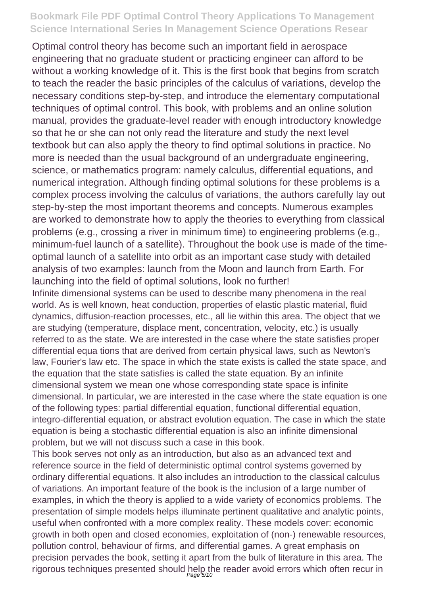Optimal control theory has become such an important field in aerospace engineering that no graduate student or practicing engineer can afford to be without a working knowledge of it. This is the first book that begins from scratch to teach the reader the basic principles of the calculus of variations, develop the necessary conditions step-by-step, and introduce the elementary computational techniques of optimal control. This book, with problems and an online solution manual, provides the graduate-level reader with enough introductory knowledge so that he or she can not only read the literature and study the next level textbook but can also apply the theory to find optimal solutions in practice. No more is needed than the usual background of an undergraduate engineering, science, or mathematics program: namely calculus, differential equations, and numerical integration. Although finding optimal solutions for these problems is a complex process involving the calculus of variations, the authors carefully lay out step-by-step the most important theorems and concepts. Numerous examples are worked to demonstrate how to apply the theories to everything from classical problems (e.g., crossing a river in minimum time) to engineering problems (e.g., minimum-fuel launch of a satellite). Throughout the book use is made of the timeoptimal launch of a satellite into orbit as an important case study with detailed analysis of two examples: launch from the Moon and launch from Earth. For launching into the field of optimal solutions, look no further! Infinite dimensional systems can be used to describe many phenomena in the real world. As is well known, heat conduction, properties of elastic plastic material, fluid dynamics, diffusion-reaction processes, etc., all lie within this area. The object that we are studying (temperature, displace ment, concentration, velocity, etc.) is usually referred to as the state. We are interested in the case where the state satisfies proper differential equa tions that are derived from certain physical laws, such as Newton's law, Fourier's law etc. The space in which the state exists is called the state space, and the equation that the state satisfies is called the state equation. By an infinite dimensional system we mean one whose corresponding state space is infinite dimensional. In particular, we are interested in the case where the state equation is one of the following types: partial differential equation, functional differential equation,

integro-differential equation, or abstract evolution equation. The case in which the state equation is being a stochastic differential equation is also an infinite dimensional problem, but we will not discuss such a case in this book.

This book serves not only as an introduction, but also as an advanced text and reference source in the field of deterministic optimal control systems governed by ordinary differential equations. It also includes an introduction to the classical calculus of variations. An important feature of the book is the inclusion of a large number of examples, in which the theory is applied to a wide variety of economics problems. The presentation of simple models helps illuminate pertinent qualitative and analytic points, useful when confronted with a more complex reality. These models cover: economic growth in both open and closed economies, exploitation of (non-) renewable resources, pollution control, behaviour of firms, and differential games. A great emphasis on precision pervades the book, setting it apart from the bulk of literature in this area. The rigorous techniques presented should help the reader avoid errors which often recur in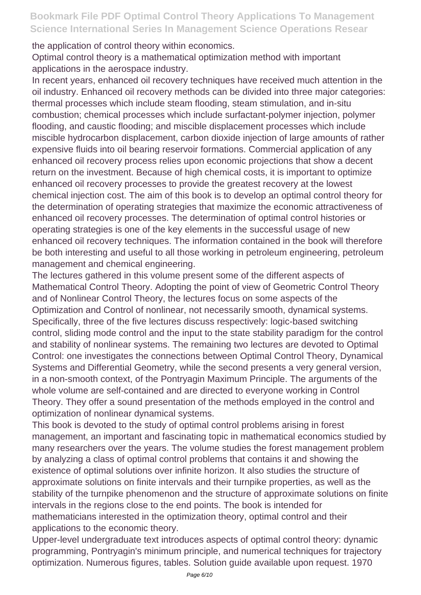the application of control theory within economics.

Optimal control theory is a mathematical optimization method with important applications in the aerospace industry.

In recent years, enhanced oil recovery techniques have received much attention in the oil industry. Enhanced oil recovery methods can be divided into three major categories: thermal processes which include steam flooding, steam stimulation, and in-situ combustion; chemical processes which include surfactant-polymer injection, polymer flooding, and caustic flooding; and miscible displacement processes which include miscible hydrocarbon displacement, carbon dioxide injection of large amounts of rather expensive fluids into oil bearing reservoir formations. Commercial application of any enhanced oil recovery process relies upon economic projections that show a decent return on the investment. Because of high chemical costs, it is important to optimize enhanced oil recovery processes to provide the greatest recovery at the lowest chemical injection cost. The aim of this book is to develop an optimal control theory for the determination of operating strategies that maximize the economic attractiveness of enhanced oil recovery processes. The determination of optimal control histories or operating strategies is one of the key elements in the successful usage of new enhanced oil recovery techniques. The information contained in the book will therefore be both interesting and useful to all those working in petroleum engineering, petroleum management and chemical engineering.

The lectures gathered in this volume present some of the different aspects of Mathematical Control Theory. Adopting the point of view of Geometric Control Theory and of Nonlinear Control Theory, the lectures focus on some aspects of the Optimization and Control of nonlinear, not necessarily smooth, dynamical systems. Specifically, three of the five lectures discuss respectively: logic-based switching control, sliding mode control and the input to the state stability paradigm for the control and stability of nonlinear systems. The remaining two lectures are devoted to Optimal Control: one investigates the connections between Optimal Control Theory, Dynamical Systems and Differential Geometry, while the second presents a very general version, in a non-smooth context, of the Pontryagin Maximum Principle. The arguments of the whole volume are self-contained and are directed to everyone working in Control Theory. They offer a sound presentation of the methods employed in the control and optimization of nonlinear dynamical systems.

This book is devoted to the study of optimal control problems arising in forest management, an important and fascinating topic in mathematical economics studied by many researchers over the years. The volume studies the forest management problem by analyzing a class of optimal control problems that contains it and showing the existence of optimal solutions over infinite horizon. It also studies the structure of approximate solutions on finite intervals and their turnpike properties, as well as the stability of the turnpike phenomenon and the structure of approximate solutions on finite intervals in the regions close to the end points. The book is intended for mathematicians interested in the optimization theory, optimal control and their applications to the economic theory.

Upper-level undergraduate text introduces aspects of optimal control theory: dynamic programming, Pontryagin's minimum principle, and numerical techniques for trajectory optimization. Numerous figures, tables. Solution guide available upon request. 1970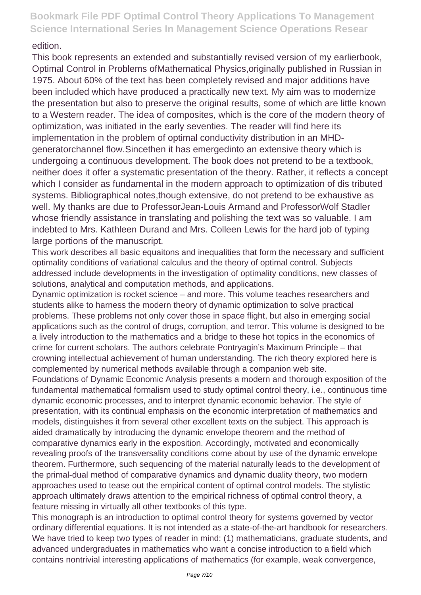#### edition.

This book represents an extended and substantially revised version of my earlierbook, Optimal Control in Problems ofMathematical Physics,originally published in Russian in 1975. About 60% of the text has been completely revised and major additions have been included which have produced a practically new text. My aim was to modernize the presentation but also to preserve the original results, some of which are little known to a Western reader. The idea of composites, which is the core of the modern theory of optimization, was initiated in the early seventies. The reader will find here its implementation in the problem of optimal conductivity distribution in an MHDgeneratorchannel flow.Sincethen it has emergedinto an extensive theory which is undergoing a continuous development. The book does not pretend to be a textbook, neither does it offer a systematic presentation of the theory. Rather, it reflects a concept which I consider as fundamental in the modern approach to optimization of dis tributed systems. Bibliographical notes,though extensive, do not pretend to be exhaustive as well. My thanks are due to ProfessorJean-Louis Armand and ProfessorWolf Stadler whose friendly assistance in translating and polishing the text was so valuable. I am indebted to Mrs. Kathleen Durand and Mrs. Colleen Lewis for the hard job of typing large portions of the manuscript.

This work describes all basic equaitons and inequalities that form the necessary and sufficient optimality conditions of variational calculus and the theory of optimal control. Subjects addressed include developments in the investigation of optimality conditions, new classes of solutions, analytical and computation methods, and applications.

Dynamic optimization is rocket science – and more. This volume teaches researchers and students alike to harness the modern theory of dynamic optimization to solve practical problems. These problems not only cover those in space flight, but also in emerging social applications such as the control of drugs, corruption, and terror. This volume is designed to be a lively introduction to the mathematics and a bridge to these hot topics in the economics of crime for current scholars. The authors celebrate Pontryagin's Maximum Principle – that crowning intellectual achievement of human understanding. The rich theory explored here is complemented by numerical methods available through a companion web site.

Foundations of Dynamic Economic Analysis presents a modern and thorough exposition of the fundamental mathematical formalism used to study optimal control theory, i.e., continuous time dynamic economic processes, and to interpret dynamic economic behavior. The style of presentation, with its continual emphasis on the economic interpretation of mathematics and models, distinguishes it from several other excellent texts on the subject. This approach is aided dramatically by introducing the dynamic envelope theorem and the method of comparative dynamics early in the exposition. Accordingly, motivated and economically revealing proofs of the transversality conditions come about by use of the dynamic envelope theorem. Furthermore, such sequencing of the material naturally leads to the development of the primal-dual method of comparative dynamics and dynamic duality theory, two modern approaches used to tease out the empirical content of optimal control models. The stylistic approach ultimately draws attention to the empirical richness of optimal control theory, a feature missing in virtually all other textbooks of this type.

This monograph is an introduction to optimal control theory for systems governed by vector ordinary differential equations. It is not intended as a state-of-the-art handbook for researchers. We have tried to keep two types of reader in mind: (1) mathematicians, graduate students, and advanced undergraduates in mathematics who want a concise introduction to a field which contains nontrivial interesting applications of mathematics (for example, weak convergence,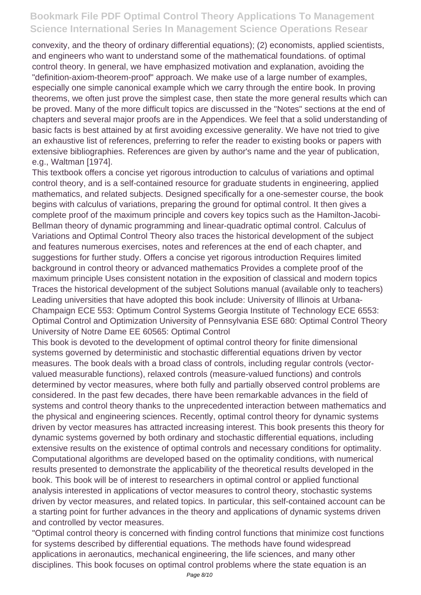convexity, and the theory of ordinary differential equations); (2) economists, applied scientists, and engineers who want to understand some of the mathematical foundations. of optimal control theory. In general, we have emphasized motivation and explanation, avoiding the "definition-axiom-theorem-proof" approach. We make use of a large number of examples, especially one simple canonical example which we carry through the entire book. In proving theorems, we often just prove the simplest case, then state the more general results which can be proved. Many of the more difficult topics are discussed in the "Notes" sections at the end of chapters and several major proofs are in the Appendices. We feel that a solid understanding of basic facts is best attained by at first avoiding excessive generality. We have not tried to give an exhaustive list of references, preferring to refer the reader to existing books or papers with extensive bibliographies. References are given by author's name and the year of publication, e.g., Waltman [1974].

This textbook offers a concise yet rigorous introduction to calculus of variations and optimal control theory, and is a self-contained resource for graduate students in engineering, applied mathematics, and related subjects. Designed specifically for a one-semester course, the book begins with calculus of variations, preparing the ground for optimal control. It then gives a complete proof of the maximum principle and covers key topics such as the Hamilton-Jacobi-Bellman theory of dynamic programming and linear-quadratic optimal control. Calculus of Variations and Optimal Control Theory also traces the historical development of the subject and features numerous exercises, notes and references at the end of each chapter, and suggestions for further study. Offers a concise yet rigorous introduction Requires limited background in control theory or advanced mathematics Provides a complete proof of the maximum principle Uses consistent notation in the exposition of classical and modern topics Traces the historical development of the subject Solutions manual (available only to teachers) Leading universities that have adopted this book include: University of Illinois at Urbana-Champaign ECE 553: Optimum Control Systems Georgia Institute of Technology ECE 6553: Optimal Control and Optimization University of Pennsylvania ESE 680: Optimal Control Theory University of Notre Dame EE 60565: Optimal Control

This book is devoted to the development of optimal control theory for finite dimensional systems governed by deterministic and stochastic differential equations driven by vector measures. The book deals with a broad class of controls, including regular controls (vectorvalued measurable functions), relaxed controls (measure-valued functions) and controls determined by vector measures, where both fully and partially observed control problems are considered. In the past few decades, there have been remarkable advances in the field of systems and control theory thanks to the unprecedented interaction between mathematics and the physical and engineering sciences. Recently, optimal control theory for dynamic systems driven by vector measures has attracted increasing interest. This book presents this theory for dynamic systems governed by both ordinary and stochastic differential equations, including extensive results on the existence of optimal controls and necessary conditions for optimality. Computational algorithms are developed based on the optimality conditions, with numerical results presented to demonstrate the applicability of the theoretical results developed in the book. This book will be of interest to researchers in optimal control or applied functional analysis interested in applications of vector measures to control theory, stochastic systems driven by vector measures, and related topics. In particular, this self-contained account can be a starting point for further advances in the theory and applications of dynamic systems driven and controlled by vector measures.

"Optimal control theory is concerned with finding control functions that minimize cost functions for systems described by differential equations. The methods have found widespread applications in aeronautics, mechanical engineering, the life sciences, and many other disciplines. This book focuses on optimal control problems where the state equation is an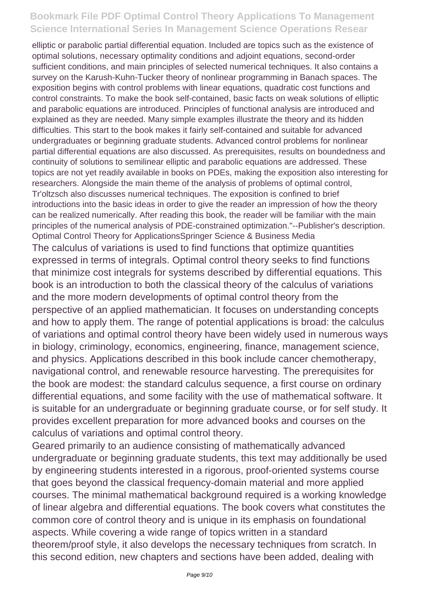elliptic or parabolic partial differential equation. Included are topics such as the existence of optimal solutions, necessary optimality conditions and adjoint equations, second-order sufficient conditions, and main principles of selected numerical techniques. It also contains a survey on the Karush-Kuhn-Tucker theory of nonlinear programming in Banach spaces. The exposition begins with control problems with linear equations, quadratic cost functions and control constraints. To make the book self-contained, basic facts on weak solutions of elliptic and parabolic equations are introduced. Principles of functional analysis are introduced and explained as they are needed. Many simple examples illustrate the theory and its hidden difficulties. This start to the book makes it fairly self-contained and suitable for advanced undergraduates or beginning graduate students. Advanced control problems for nonlinear partial differential equations are also discussed. As prerequisites, results on boundedness and continuity of solutions to semilinear elliptic and parabolic equations are addressed. These topics are not yet readily available in books on PDEs, making the exposition also interesting for researchers. Alongside the main theme of the analysis of problems of optimal control, Tr'oltzsch also discusses numerical techniques. The exposition is confined to brief introductions into the basic ideas in order to give the reader an impression of how the theory can be realized numerically. After reading this book, the reader will be familiar with the main principles of the numerical analysis of PDE-constrained optimization."--Publisher's description. Optimal Control Theory for ApplicationsSpringer Science & Business Media The calculus of variations is used to find functions that optimize quantities expressed in terms of integrals. Optimal control theory seeks to find functions that minimize cost integrals for systems described by differential equations. This book is an introduction to both the classical theory of the calculus of variations and the more modern developments of optimal control theory from the perspective of an applied mathematician. It focuses on understanding concepts and how to apply them. The range of potential applications is broad: the calculus of variations and optimal control theory have been widely used in numerous ways in biology, criminology, economics, engineering, finance, management science, and physics. Applications described in this book include cancer chemotherapy, navigational control, and renewable resource harvesting. The prerequisites for the book are modest: the standard calculus sequence, a first course on ordinary differential equations, and some facility with the use of mathematical software. It is suitable for an undergraduate or beginning graduate course, or for self study. It provides excellent preparation for more advanced books and courses on the calculus of variations and optimal control theory.

Geared primarily to an audience consisting of mathematically advanced undergraduate or beginning graduate students, this text may additionally be used by engineering students interested in a rigorous, proof-oriented systems course that goes beyond the classical frequency-domain material and more applied courses. The minimal mathematical background required is a working knowledge of linear algebra and differential equations. The book covers what constitutes the common core of control theory and is unique in its emphasis on foundational aspects. While covering a wide range of topics written in a standard theorem/proof style, it also develops the necessary techniques from scratch. In this second edition, new chapters and sections have been added, dealing with